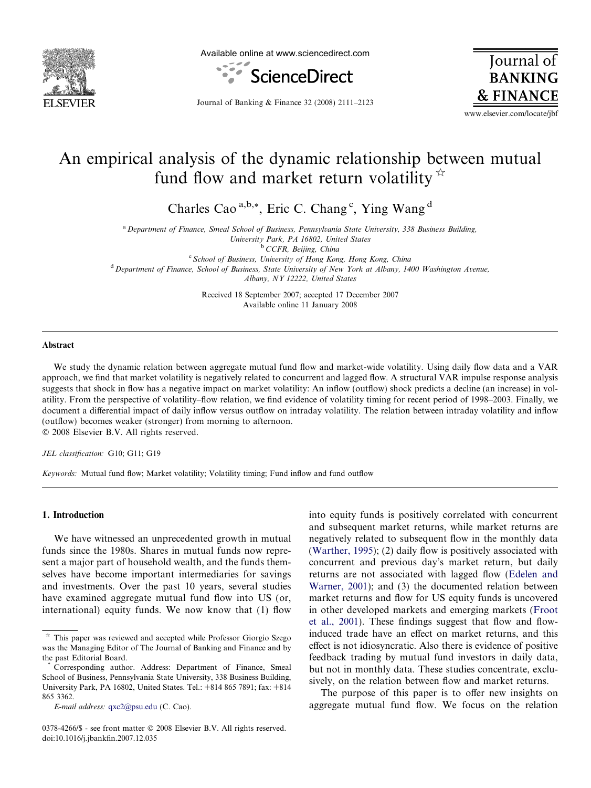

Available online at www.sciencedirect.com



Journal of **BANKING & FINANCE** 

Journal of Banking & Finance 32 (2008) 2111–2123

www.elsevier.com/locate/jbf

# An empirical analysis of the dynamic relationship between mutual fund flow and market return volatility  $\overline{r}$

Charles Cao<sup>a,b,\*</sup>, Eric C. Chang<sup>c</sup>, Ying Wang<sup>d</sup>

a Department of Finance, Smeal School of Business, Pennsylvania State University, 338 Business Building, University Park, PA 16802, United States <sup>b</sup> CCFR, Beijing, China <sup>c</sup> School of Business, University of Hong Kong, Hong Kong, China

<sup>d</sup> Department of Finance, School of Business, State University of New York at Albany, 1400 Washington Avenue, Albany, NY 12222, United States

> Received 18 September 2007; accepted 17 December 2007 Available online 11 January 2008

# Abstract

We study the dynamic relation between aggregate mutual fund flow and market-wide volatility. Using daily flow data and a VAR approach, we find that market volatility is negatively related to concurrent and lagged flow. A structural VAR impulse response analysis suggests that shock in flow has a negative impact on market volatility: An inflow (outflow) shock predicts a decline (an increase) in volatility. From the perspective of volatility–flow relation, we find evidence of volatility timing for recent period of 1998–2003. Finally, we document a differential impact of daily inflow versus outflow on intraday volatility. The relation between intraday volatility and inflow (outflow) becomes weaker (stronger) from morning to afternoon. © 2008 Elsevier B.V. All rights reserved.

JEL classification: G10; G11; G19

Keywords: Mutual fund flow; Market volatility; Volatility timing; Fund inflow and fund outflow

#### 1. Introduction

We have witnessed an unprecedented growth in mutual funds since the 1980s. Shares in mutual funds now represent a major part of household wealth, and the funds themselves have become important intermediaries for savings and investments. Over the past 10 years, several studies have examined aggregate mutual fund flow into US (or, international) equity funds. We now know that (1) flow

E-mail address: [qxc2@psu.edu](mailto:qxc2@psu.edu) (C. Cao).

0378-4266/\$ - see front matter © 2008 Elsevier B.V. All rights reserved. doi:10.1016/j.jbankfin.2007.12.035

into equity funds is positively correlated with concurrent and subsequent market returns, while market returns are negatively related to subsequent flow in the monthly data ([Warther, 1995](#page-12-0)); (2) daily flow is positively associated with concurrent and previous day's market return, but daily returns are not associated with lagged flow ([Edelen and](#page-12-0) [Warner, 2001\)](#page-12-0); and (3) the documented relation between market returns and flow for US equity funds is uncovered in other developed markets and emerging markets ([Froot](#page-12-0) [et al., 2001\)](#page-12-0). These findings suggest that flow and flowinduced trade have an effect on market returns, and this effect is not idiosyncratic. Also there is evidence of positive feedback trading by mutual fund investors in daily data, but not in monthly data. These studies concentrate, exclusively, on the relation between flow and market returns.

The purpose of this paper is to offer new insights on aggregate mutual fund flow. We focus on the relation

 $*$  This paper was reviewed and accepted while Professor Giorgio Szego was the Managing Editor of The Journal of Banking and Finance and by the past Editorial Board.

Corresponding author. Address: Department of Finance, Smeal School of Business, Pennsylvania State University, 338 Business Building, University Park, PA 16802, United States. Tel.: +814 865 7891; fax: +814 865 3362.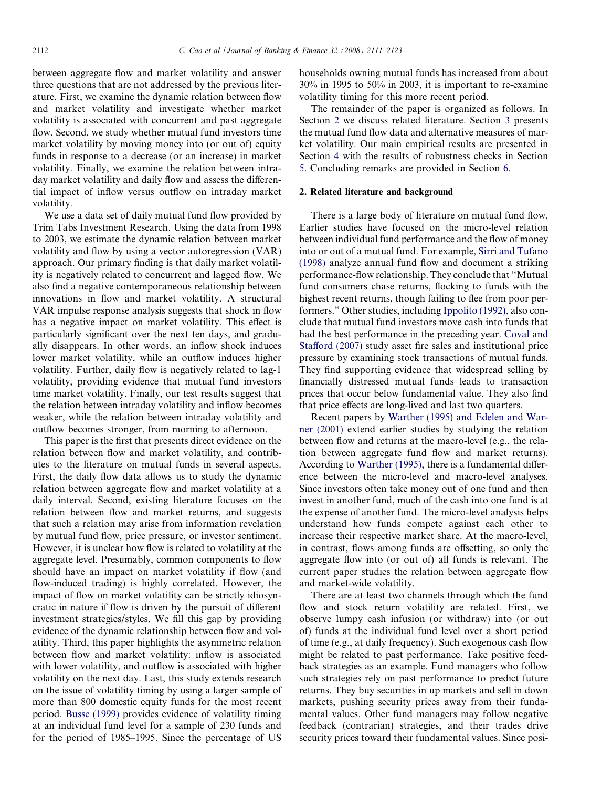between aggregate flow and market volatility and answer three questions that are not addressed by the previous literature. First, we examine the dynamic relation between flow and market volatility and investigate whether market volatility is associated with concurrent and past aggregate flow. Second, we study whether mutual fund investors time market volatility by moving money into (or out of) equity funds in response to a decrease (or an increase) in market volatility. Finally, we examine the relation between intraday market volatility and daily flow and assess the differential impact of inflow versus outflow on intraday market volatility.

We use a data set of daily mutual fund flow provided by Trim Tabs Investment Research. Using the data from 1998 to 2003, we estimate the dynamic relation between market volatility and flow by using a vector autoregression (VAR) approach. Our primary finding is that daily market volatility is negatively related to concurrent and lagged flow. We also find a negative contemporaneous relationship between innovations in flow and market volatility. A structural VAR impulse response analysis suggests that shock in flow has a negative impact on market volatility. This effect is particularly significant over the next ten days, and gradually disappears. In other words, an inflow shock induces lower market volatility, while an outflow induces higher volatility. Further, daily flow is negatively related to lag-1 volatility, providing evidence that mutual fund investors time market volatility. Finally, our test results suggest that the relation between intraday volatility and inflow becomes weaker, while the relation between intraday volatility and outflow becomes stronger, from morning to afternoon.

This paper is the first that presents direct evidence on the relation between flow and market volatility, and contributes to the literature on mutual funds in several aspects. First, the daily flow data allows us to study the dynamic relation between aggregate flow and market volatility at a daily interval. Second, existing literature focuses on the relation between flow and market returns, and suggests that such a relation may arise from information revelation by mutual fund flow, price pressure, or investor sentiment. However, it is unclear how flow is related to volatility at the aggregate level. Presumably, common components to flow should have an impact on market volatility if flow (and flow-induced trading) is highly correlated. However, the impact of flow on market volatility can be strictly idiosyncratic in nature if flow is driven by the pursuit of different investment strategies/styles. We fill this gap by providing evidence of the dynamic relationship between flow and volatility. Third, this paper highlights the asymmetric relation between flow and market volatility: inflow is associated with lower volatility, and outflow is associated with higher volatility on the next day. Last, this study extends research on the issue of volatility timing by using a larger sample of more than 800 domestic equity funds for the most recent period. [Busse \(1999\)](#page-12-0) provides evidence of volatility timing at an individual fund level for a sample of 230 funds and for the period of 1985–1995. Since the percentage of US households owning mutual funds has increased from about 30% in 1995 to 50% in 2003, it is important to re-examine volatility timing for this more recent period.

The remainder of the paper is organized as follows. In Section 2 we discuss related literature. Section [3](#page-2-0) presents the mutual fund flow data and alternative measures of market volatility. Our main empirical results are presented in Section [4](#page-4-0) with the results of robustness checks in Section [5.](#page-10-0) Concluding remarks are provided in Section [6](#page-11-0).

# 2. Related literature and background

There is a large body of literature on mutual fund flow. Earlier studies have focused on the micro-level relation between individual fund performance and the flow of money into or out of a mutual fund. For example, [Sirri and Tufano](#page-12-0) [\(1998\)](#page-12-0) analyze annual fund flow and document a striking performance-flow relationship. They conclude that ''Mutual fund consumers chase returns, flocking to funds with the highest recent returns, though failing to flee from poor performers." Other studies, including [Ippolito \(1992\)](#page-12-0), also conclude that mutual fund investors move cash into funds that had the best performance in the preceding year. [Coval and](#page-12-0) [Stafford \(2007\)](#page-12-0) study asset fire sales and institutional price pressure by examining stock transactions of mutual funds. They find supporting evidence that widespread selling by financially distressed mutual funds leads to transaction prices that occur below fundamental value. They also find that price effects are long-lived and last two quarters.

Recent papers by [Warther \(1995\) and Edelen and War](#page-12-0)[ner \(2001\)](#page-12-0) extend earlier studies by studying the relation between flow and returns at the macro-level (e.g., the relation between aggregate fund flow and market returns). According to [Warther \(1995\)](#page-12-0), there is a fundamental difference between the micro-level and macro-level analyses. Since investors often take money out of one fund and then invest in another fund, much of the cash into one fund is at the expense of another fund. The micro-level analysis helps understand how funds compete against each other to increase their respective market share. At the macro-level, in contrast, flows among funds are offsetting, so only the aggregate flow into (or out of) all funds is relevant. The current paper studies the relation between aggregate flow and market-wide volatility.

There are at least two channels through which the fund flow and stock return volatility are related. First, we observe lumpy cash infusion (or withdraw) into (or out of) funds at the individual fund level over a short period of time (e.g., at daily frequency). Such exogenous cash flow might be related to past performance. Take positive feedback strategies as an example. Fund managers who follow such strategies rely on past performance to predict future returns. They buy securities in up markets and sell in down markets, pushing security prices away from their fundamental values. Other fund managers may follow negative feedback (contrarian) strategies, and their trades drive security prices toward their fundamental values. Since posi-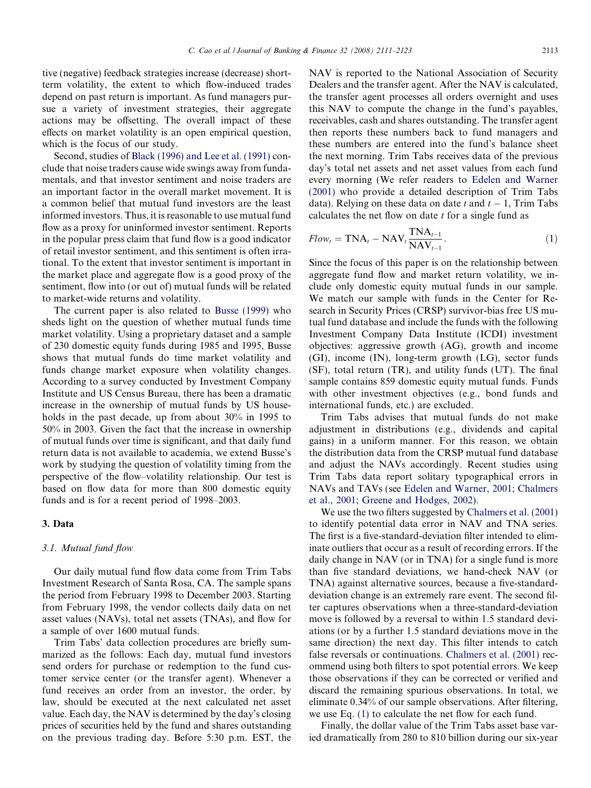<span id="page-2-0"></span>tive (negative) feedback strategies increase (decrease) shortterm volatility, the extent to which flow-induced trades depend on past return is important. As fund managers pursue a variety of investment strategies, their aggregate actions may be offsetting. The overall impact of these effects on market volatility is an open empirical question, which is the focus of our study.

Second, studies of [Black \(1996\) and Lee et al. \(1991\)](#page-11-0) conclude that noise traders cause wide swings away from fundamentals, and that investor sentiment and noise traders are an important factor in the overall market movement. It is a common belief that mutual fund investors are the least informed investors. Thus, it is reasonable to use mutual fund flow as a proxy for uninformed investor sentiment. Reports in the popular press claim that fund flow is a good indicator of retail investor sentiment, and this sentiment is often irrational. To the extent that investor sentiment is important in the market place and aggregate flow is a good proxy of the sentiment, flow into (or out of) mutual funds will be related to market-wide returns and volatility.

The current paper is also related to [Busse \(1999\)](#page-12-0) who sheds light on the question of whether mutual funds time market volatility. Using a proprietary dataset and a sample of 230 domestic equity funds during 1985 and 1995, Busse shows that mutual funds do time market volatility and funds change market exposure when volatility changes. According to a survey conducted by Investment Company Institute and US Census Bureau, there has been a dramatic increase in the ownership of mutual funds by US households in the past decade, up from about 30% in 1995 to 50% in 2003. Given the fact that the increase in ownership of mutual funds over time is significant, and that daily fund return data is not available to academia, we extend Busse's work by studying the question of volatility timing from the perspective of the flow–volatility relationship. Our test is based on flow data for more than 800 domestic equity funds and is for a recent period of 1998–2003.

# 3. Data

# 3.1. Mutual fund flow

Our daily mutual fund flow data come from Trim Tabs Investment Research of Santa Rosa, CA. The sample spans the period from February 1998 to December 2003. Starting from February 1998, the vendor collects daily data on net asset values (NAVs), total net assets (TNAs), and flow for a sample of over 1600 mutual funds.

Trim Tabs' data collection procedures are briefly summarized as the follows: Each day, mutual fund investors send orders for purchase or redemption to the fund customer service center (or the transfer agent). Whenever a fund receives an order from an investor, the order, by law, should be executed at the next calculated net asset value. Each day, the NAV is determined by the day's closing prices of securities held by the fund and shares outstanding on the previous trading day. Before 5:30 p.m. EST, the NAV is reported to the National Association of Security Dealers and the transfer agent. After the NAV is calculated, the transfer agent processes all orders overnight and uses this NAV to compute the change in the fund's payables, receivables, cash and shares outstanding. The transfer agent then reports these numbers back to fund managers and these numbers are entered into the fund's balance sheet the next morning. Trim Tabs receives data of the previous day's total net assets and net asset values from each fund every morning (We refer readers to [Edelen and Warner](#page-12-0) [\(2001\)](#page-12-0) who provide a detailed description of Trim Tabs data). Relying on these data on date  $t$  and  $t - 1$ , Trim Tabs calculates the net flow on date  $t$  for a single fund as

$$
Flow_t = \text{TNA}_t - \text{NAV}_t \frac{\text{TNA}_{t-1}}{\text{NAV}_{t-1}}.
$$
\n(1)

Since the focus of this paper is on the relationship between aggregate fund flow and market return volatility, we include only domestic equity mutual funds in our sample. We match our sample with funds in the Center for Research in Security Prices (CRSP) survivor-bias free US mutual fund database and include the funds with the following Investment Company Data Institute (ICDI) investment objectives: aggressive growth (AG), growth and income (GI), income (IN), long-term growth (LG), sector funds (SF), total return (TR), and utility funds (UT). The final sample contains 859 domestic equity mutual funds. Funds with other investment objectives (e.g., bond funds and international funds, etc.) are excluded.

Trim Tabs advises that mutual funds do not make adjustment in distributions (e.g., dividends and capital gains) in a uniform manner. For this reason, we obtain the distribution data from the CRSP mutual fund database and adjust the NAVs accordingly. Recent studies using Trim Tabs data report solitary typographical errors in NAVs and TAVs (see [Edelen and Warner, 2001; Chalmers](#page-12-0) [et al., 2001; Greene and Hodges, 2002\)](#page-12-0).

We use the two filters suggested by [Chalmers et al. \(2001\)](#page-12-0) to identify potential data error in NAV and TNA series. The first is a five-standard-deviation filter intended to eliminate outliers that occur as a result of recording errors. If the daily change in NAV (or in TNA) for a single fund is more than five standard deviations, we hand-check NAV (or TNA) against alternative sources, because a five-standarddeviation change is an extremely rare event. The second filter captures observations when a three-standard-deviation move is followed by a reversal to within 1.5 standard deviations (or by a further 1.5 standard deviations move in the same direction) the next day. This filter intends to catch false reversals or continuations. [Chalmers et al. \(2001\)](#page-12-0) recommend using both filters to spot potential errors. We keep those observations if they can be corrected or verified and discard the remaining spurious observations. In total, we eliminate 0.34% of our sample observations. After filtering, we use Eq. (1) to calculate the net flow for each fund.

Finally, the dollar value of the Trim Tabs asset base varied dramatically from 280 to 810 billion during our six-year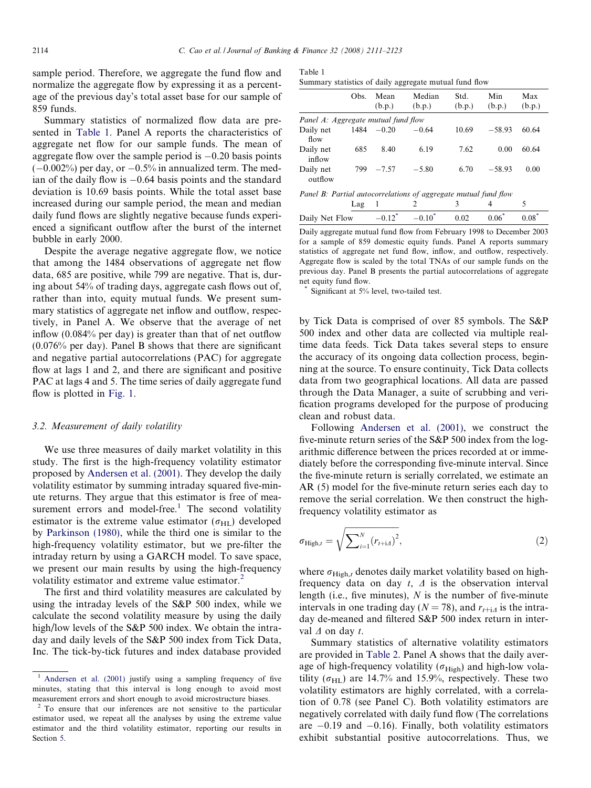<span id="page-3-0"></span>sample period. Therefore, we aggregate the fund flow and normalize the aggregate flow by expressing it as a percentage of the previous day's total asset base for our sample of 859 funds.

Summary statistics of normalized flow data are presented in Table 1. Panel A reports the characteristics of aggregate net flow for our sample funds. The mean of aggregate flow over the sample period is  $-0.20$  basis points  $(-0.002\%)$  per day, or  $-0.5\%$  in annualized term. The median of the daily flow is -0.64 basis points and the standard deviation is 10.69 basis points. While the total asset base increased during our sample period, the mean and median daily fund flows are slightly negative because funds experienced a significant outflow after the burst of the internet bubble in early 2000.

Despite the average negative aggregate flow, we notice that among the 1484 observations of aggregate net flow data, 685 are positive, while 799 are negative. That is, during about 54% of trading days, aggregate cash flows out of, rather than into, equity mutual funds. We present summary statistics of aggregate net inflow and outflow, respectively, in Panel A. We observe that the average of net inflow (0.084% per day) is greater than that of net outflow (0.076% per day). Panel B shows that there are significant and negative partial autocorrelations (PAC) for aggregate flow at lags 1 and 2, and there are significant and positive PAC at lags 4 and 5. The time series of daily aggregate fund flow is plotted in [Fig. 1.](#page-4-0)

#### 3.2. Measurement of daily volatility

We use three measures of daily market volatility in this study. The first is the high-frequency volatility estimator proposed by [Andersen et al. \(2001\).](#page-11-0) They develop the daily volatility estimator by summing intraday squared five-minute returns. They argue that this estimator is free of measurement errors and model-free.<sup>1</sup> The second volatility estimator is the extreme value estimator ( $\sigma_{\text{HL}}$ ) developed by [Parkinson \(1980\),](#page-12-0) while the third one is similar to the high-frequency volatility estimator, but we pre-filter the intraday return by using a GARCH model. To save space, we present our main results by using the high-frequency volatility estimator and extreme value estimator.<sup>2</sup>

The first and third volatility measures are calculated by using the intraday levels of the S&P 500 index, while we calculate the second volatility measure by using the daily high/low levels of the S&P 500 index. We obtain the intraday and daily levels of the S&P 500 index from Tick Data, Inc. The tick-by-tick futures and index database provided

| Table 1 |  |                                                        |  |  |
|---------|--|--------------------------------------------------------|--|--|
|         |  | Summary statistics of daily aggregate mutual fund flow |  |  |

|                      | Obs.                                | Mean<br>(b.p.) | Median<br>(b.p.) | Std.<br>(b.p.) | Min<br>(b.p.) | Max<br>(b.p.) |  |
|----------------------|-------------------------------------|----------------|------------------|----------------|---------------|---------------|--|
|                      | Panel A: Aggregate mutual fund flow |                |                  |                |               |               |  |
| Daily net<br>flow    | 1484                                | $-0.20$        | $-0.64$          | 10.69          | $-58.93$      | 60.64         |  |
| Daily net<br>inflow  | 685                                 | 8.40           | 6.19             | 7.62           | 0.00          | 60.64         |  |
| Daily net<br>outflow | 799                                 | $-7.57$        | $-5.80$          | 6.70           | $-58.93$      | 0.00          |  |

| Panel B: Partial autocorrelations of aggregate mutual fund flow |  |
|-----------------------------------------------------------------|--|
|-----------------------------------------------------------------|--|

|                | Lag |                                                                              |  |  |
|----------------|-----|------------------------------------------------------------------------------|--|--|
| Daily Net Flow |     | $-0.12^{\degree}$ $-0.10^{\degree}$ $0.02$ $0.06^{\degree}$ $0.08^{\degree}$ |  |  |

Daily aggregate mutual fund flow from February 1998 to December 2003 for a sample of 859 domestic equity funds. Panel A reports summary statistics of aggregate net fund flow, inflow, and outflow, respectively. Aggregate flow is scaled by the total TNAs of our sample funds on the previous day. Panel B presents the partial autocorrelations of aggregate net equity fund flow.

Significant at 5% level, two-tailed test.

by Tick Data is comprised of over 85 symbols. The S&P 500 index and other data are collected via multiple realtime data feeds. Tick Data takes several steps to ensure the accuracy of its ongoing data collection process, beginning at the source. To ensure continuity, Tick Data collects data from two geographical locations. All data are passed through the Data Manager, a suite of scrubbing and verification programs developed for the purpose of producing clean and robust data.

Following [Andersen et al. \(2001\)](#page-11-0), we construct the five-minute return series of the S&P 500 index from the logarithmic difference between the prices recorded at or immediately before the corresponding five-minute interval. Since the five-minute return is serially correlated, we estimate an AR (5) model for the five-minute return series each day to remove the serial correlation. We then construct the highfrequency volatility estimator as

$$
\sigma_{\text{High},t} = \sqrt{\sum_{i=1}^{N} (r_{t+i\Delta})^2},
$$
\n(2)

where  $\sigma_{\text{High},t}$  denotes daily market volatility based on highfrequency data on day  $t$ ,  $\Delta$  is the observation interval length (i.e., five minutes),  $N$  is the number of five-minute intervals in one trading day ( $N = 78$ ), and  $r_{t+i}$  is the intraday de-meaned and filtered S&P 500 index return in interval  $\Delta$  on day t.

Summary statistics of alternative volatility estimators are provided in [Table 2](#page-4-0). Panel A shows that the daily average of high-frequency volatility ( $\sigma_{High}$ ) and high-low volatility ( $\sigma_{\text{HL}}$ ) are 14.7% and 15.9%, respectively. These two volatility estimators are highly correlated, with a correlation of 0.78 (see Panel C). Both volatility estimators are negatively correlated with daily fund flow (The correlations are  $-0.19$  and  $-0.16$ ). Finally, both volatility estimators exhibit substantial positive autocorrelations. Thus, we

<sup>&</sup>lt;sup>1</sup> [Andersen et al. \(2001\)](#page-11-0) justify using a sampling frequency of five minutes, stating that this interval is long enough to avoid most measurement errors and short enough to avoid microstructure biases.

<sup>2</sup> To ensure that our inferences are not sensitive to the particular estimator used, we repeat all the analyses by using the extreme value estimator and the third volatility estimator, reporting our results in Section [5](#page-10-0).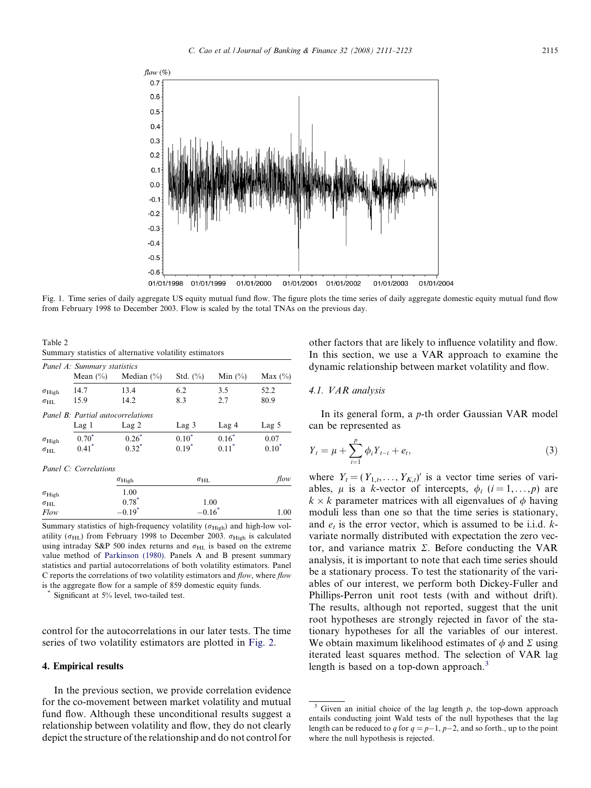<span id="page-4-0"></span>

Fig. 1. Time series of daily aggregate US equity mutual fund flow. The figure plots the time series of daily aggregate domestic equity mutual fund flow from February 1998 to December 2003. Flow is scaled by the total TNAs on the previous day.

Table 2 Summary statistics of alternative volatility estimators

|                     | Panel A: Summary statistics       |                     |                      |                  |            |
|---------------------|-----------------------------------|---------------------|----------------------|------------------|------------|
|                     | Mean $(\% )$                      | Median $(\% )$      | Std. $(\%$           | Min $(\% )$      | Max $(\%)$ |
| $\sigma_{\rm High}$ | 14.7                              | 13.4                | 6.2                  | 3.5              | 52.2       |
| $\sigma_{\rm HL}$   | 15.9                              | 14.2                | 8.3                  | 2.7              | 80.9       |
|                     | Panel B: Partial autocorrelations |                     |                      |                  |            |
|                     | Lag 1                             | $\text{Lag} 2$      | Lag <sub>3</sub>     | Lag <sub>4</sub> | Lag $5$    |
| $\sigma_{\rm High}$ | $0.70*$                           | $0.26^*$            | $0.10*$              | $0.16*$          | 0.07       |
| $\sigma_{\rm HL}$   | $0.41*$                           | $0.32^*$            | $0.19*$              | $0.11*$          | $0.10^*$   |
|                     | Panel C: Correlations             |                     |                      |                  |            |
|                     |                                   | $\sigma_{\rm High}$ | $\sigma_{\rm HL}$    |                  | flow       |
| $\sigma_{\rm High}$ |                                   | 1.00                |                      |                  |            |
| $\sigma_{\rm HL}$   |                                   | $0.78^*$            | 1.00                 |                  |            |
| Flow                |                                   | $-0.19^*$           | $-0.16$ <sup>*</sup> |                  | 1.00       |

Summary statistics of high-frequency volatility ( $\sigma_{\text{High}}$ ) and high-low volatility ( $\sigma_{HL}$ ) from February 1998 to December 2003.  $\sigma_{High}$  is calculated using intraday S&P 500 index returns and  $\sigma_{HL}$  is based on the extreme value method of [Parkinson \(1980\)](#page-12-0). Panels A and B present summary statistics and partial autocorrelations of both volatility estimators. Panel C reports the correlations of two volatility estimators and  $flow$ , where  $flow$ is the aggregate flow for a sample of 859 domestic equity funds.

Significant at 5% level, two-tailed test.

control for the autocorrelations in our later tests. The time series of two volatility estimators are plotted in [Fig. 2.](#page-5-0)

# 4. Empirical results

In the previous section, we provide correlation evidence for the co-movement between market volatility and mutual fund flow. Although these unconditional results suggest a relationship between volatility and flow, they do not clearly depict the structure of the relationship and do not control for other factors that are likely to influence volatility and flow. In this section, we use a VAR approach to examine the dynamic relationship between market volatility and flow.

# 4.1. VAR analysis

In its general form, a p-th order Gaussian VAR model can be represented as

$$
Y_{t} = \mu + \sum_{i=1}^{p} \phi_{i} Y_{t-i} + e_{t}, \qquad (3)
$$

where  $Y_t = (Y_{1,t}, \ldots, Y_{K,t})'$  is a vector time series of variables,  $\mu$  is a k-vector of intercepts,  $\phi_i$  ( $i = 1, \ldots, p$ ) are  $k \times k$  parameter matrices with all eigenvalues of  $\phi$  having moduli less than one so that the time series is stationary, and  $e_t$  is the error vector, which is assumed to be i.i.d.  $k$ variate normally distributed with expectation the zero vector, and variance matrix  $\Sigma$ . Before conducting the VAR analysis, it is important to note that each time series should be a stationary process. To test the stationarity of the variables of our interest, we perform both Dickey-Fuller and Phillips-Perron unit root tests (with and without drift). The results, although not reported, suggest that the unit root hypotheses are strongly rejected in favor of the stationary hypotheses for all the variables of our interest. We obtain maximum likelihood estimates of  $\phi$  and  $\Sigma$  using iterated least squares method. The selection of VAR lag length is based on a top-down approach.<sup>3</sup>

Given an initial choice of the lag length  $p$ , the top-down approach entails conducting joint Wald tests of the null hypotheses that the lag length can be reduced to q for  $q = p-1$ ,  $p-2$ , and so forth., up to the point where the null hypothesis is rejected.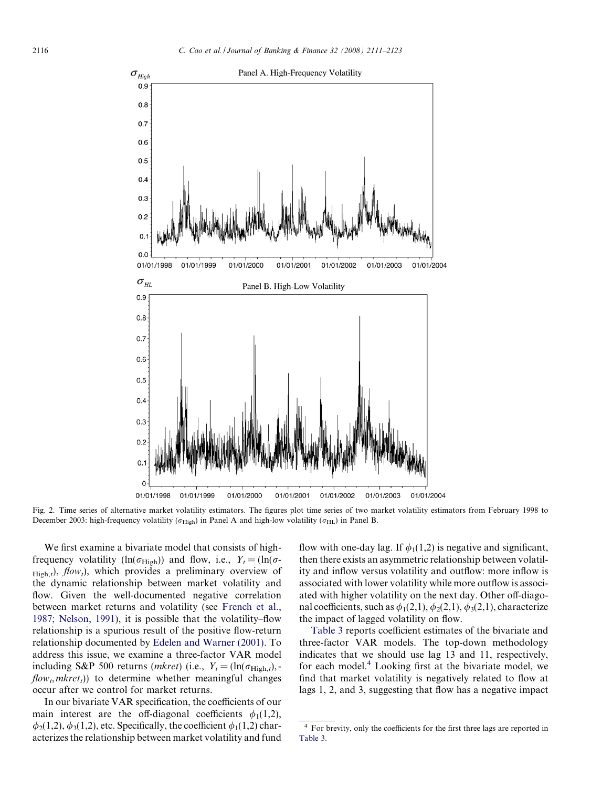<span id="page-5-0"></span>

Fig. 2. Time series of alternative market volatility estimators. The figures plot time series of two market volatility estimators from February 1998 to December 2003: high-frequency volatility ( $\sigma_{\text{High}}$ ) in Panel A and high-low volatility ( $\sigma_{\text{HL}}$ ) in Panel B.

We first examine a bivariate model that consists of highfrequency volatility (ln( $\sigma_{\text{High}}$ )) and flow, i.e.,  $Y_t = (\ln(\sigma$ - $_{\text{High},t}$ ),  $flow_t$ ), which provides a preliminary overview of the dynamic relationship between market volatility and flow. Given the well-documented negative correlation between market returns and volatility (see [French et al.,](#page-12-0) [1987; Nelson, 1991](#page-12-0)), it is possible that the volatility–flow relationship is a spurious result of the positive flow-return relationship documented by [Edelen and Warner \(2001\)](#page-12-0). To address this issue, we examine a three-factor VAR model including S&P 500 returns (*mkret*) (i.e.,  $Y_t = (\ln(\sigma_{\text{High }t})$ ,  $flow<sub>t</sub>,$  mkret<sub>t</sub>)) to determine whether meaningful changes occur after we control for market returns.

In our bivariate VAR specification, the coefficients of our main interest are the off-diagonal coefficients  $\phi_1(1,2)$ ,  $\phi_2(1,2), \phi_3(1,2)$ , etc. Specifically, the coefficient  $\phi_1(1,2)$  characterizes the relationship between market volatility and fund flow with one-day lag. If  $\phi_1(1,2)$  is negative and significant, then there exists an asymmetric relationship between volatility and inflow versus volatility and outflow: more inflow is associated with lower volatility while more outflow is associated with higher volatility on the next day. Other off-diagonal coefficients, such as  $\phi_1(2,1), \phi_2(2,1), \phi_3(2,1)$ , characterize the impact of lagged volatility on flow.

[Table 3](#page-6-0) reports coefficient estimates of the bivariate and three-factor VAR models. The top-down methodology indicates that we should use lag 13 and 11, respectively, for each model.<sup>4</sup> Looking first at the bivariate model, we find that market volatility is negatively related to flow at lags 1, 2, and 3, suggesting that flow has a negative impact

<sup>4</sup> For brevity, only the coefficients for the first three lags are reported in [Table 3.](#page-6-0)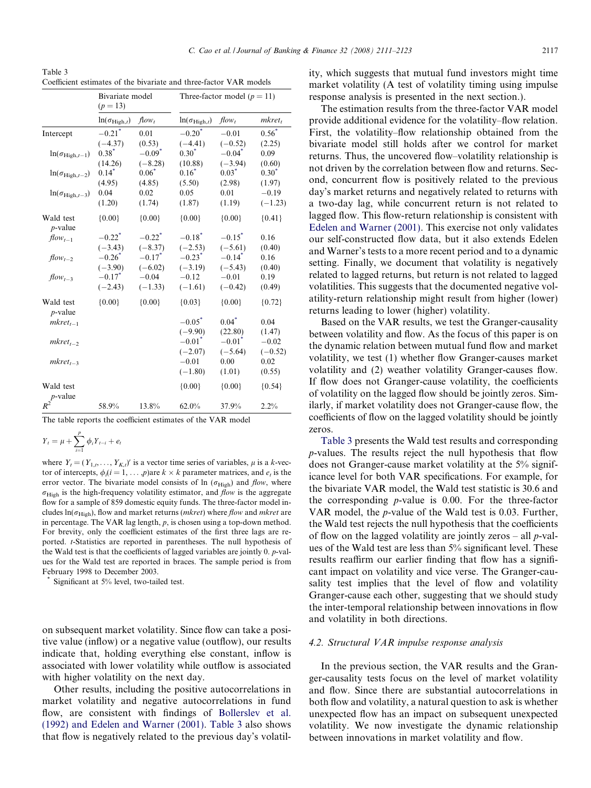<span id="page-6-0"></span>Table 3 Coefficient estimates of the bivariate and three-factor VAR models

|                                | Bivariate model<br>$(p = 13)$ |                      | Three-factor model $(p = 11)$ |                      |            |  |
|--------------------------------|-------------------------------|----------------------|-------------------------------|----------------------|------------|--|
|                                | $ln(\sigma_{\text{High},t})$  | $flow_t$             | $ln(\sigma_{High, t})$        | $flow_t$             | mkret,     |  |
| Intercept                      | $-0.21$ <sup>*</sup>          | 0.01                 | $-0.20$ <sup>*</sup>          | $-0.01$              | $0.56*$    |  |
|                                | $(-4.37)$                     | (0.53)               | $(-4.41)$                     | $(-0.52)$            | (2.25)     |  |
| $ln(\sigma_{\text{High},t-1})$ | $0.38*$                       | $-0.09$ <sup>*</sup> | $0.30^{*}$                    | $-0.04$ <sup>*</sup> | 0.09       |  |
|                                | (14.26)                       | $(-8.28)$            | (10.88)                       | $(-3.94)$            | (0.60)     |  |
| $ln(\sigma_{\text{High},t-2})$ | $0.14*$                       | $0.06*$              | $0.16*$                       | $0.03*$              | $0.30^{*}$ |  |
|                                | (4.95)                        | (4.85)               | (5.50)                        | (2.98)               | (1.97)     |  |
| $ln(\sigma_{\text{High},t-3})$ | 0.04                          | 0.02                 | 0.05                          | 0.01                 | $-0.19$    |  |
|                                | (1.20)                        | (1.74)               | (1.87)                        | (1.19)               | $(-1.23)$  |  |
| Wald test<br>$p$ -value        | ${0.00}$                      | ${0.00}$             | ${0.00}$                      | ${0.00}$             | ${0.41}$   |  |
| $flow_{t-1}$                   | $-0.22$ <sup>*</sup>          | $-0.22$ <sup>*</sup> | $-0.18$ <sup>*</sup>          | $-0.15^*$            | 0.16       |  |
|                                | $(-3.43)$                     | $(-8.37)$            | $(-2.53)$                     | $(-5.61)$            | (0.40)     |  |
| $flow_{t-2}$                   | $-0.26*$                      | $-0.17^*$            | $-0.23$ <sup>*</sup>          | $-0.14$ <sup>*</sup> | 0.16       |  |
|                                | $(-3.90)$                     | $(-6.02)$            | $(-3.19)$                     | $(-5.43)$            | (0.40)     |  |
| $flow_{t-3}$                   | $-0.17^*$                     | $-0.04$              | $-0.12$                       | $-0.01$              | 0.19       |  |
|                                | $(-2.43)$                     | $(-1.33)$            | $(-1.61)$                     | $(-0.42)$            | (0.49)     |  |
| Wald test<br>$p$ -value        | ${0.00}$                      | ${0.00}$             | ${0.03}$                      | ${0.00}$             | ${0.72}$   |  |
| $mkret_{t-1}$                  |                               |                      | $-0.05^*$                     | $0.04*$              | 0.04       |  |
|                                |                               |                      | $(-9.90)$                     | (22.80)              | (1.47)     |  |
| $mkret_{t-2}$                  |                               |                      | $-0.01$ <sup>*</sup>          | $-0.01^*$            | $-0.02$    |  |
|                                |                               |                      | $(-2.07)$                     | $(-5.64)$            | $(-0.52)$  |  |
| $mkret_{t-3}$                  |                               |                      | $-0.01$                       | 0.00                 | 0.02       |  |
|                                |                               |                      | $(-1.80)$                     | (1.01)               | (0.55)     |  |
| Wald test                      |                               |                      | ${0.00}$                      | ${0.00}$             | ${0.54}$   |  |
| $p$ -value                     |                               |                      |                               |                      |            |  |
| $R^2$                          | 58.9%                         | 13.8%                | 62.0%                         | 37.9%                | 2.2%       |  |

The table reports the coefficient estimates of the VAR model

$$
Y_{t} = \mu + \sum_{i=1}^{p} \phi_{i} Y_{t-i} + e_{t}
$$

where  $Y_t = (Y_{1,t}, \ldots, Y_{K,t})'$  is a vector time series of variables,  $\mu$  is a k-vector of intercepts,  $\phi_i(i = 1, \ldots, p)$ are  $k \times k$  parameter matrices, and  $e_i$  is the error vector. The bivariate model consists of ln ( $\sigma_{\text{High}}$ ) and flow, where  $\sigma_{\text{High}}$  is the high-frequency volatility estimator, and  $flow$  is the aggregate flow for a sample of 859 domestic equity funds. The three-factor model includes  $ln(\sigma_{High})$ , flow and market returns (*mkret*) where *flow* and *mkret* are in percentage. The VAR lag length,  $p$ , is chosen using a top-down method. For brevity, only the coefficient estimates of the first three lags are reported. t-Statistics are reported in parentheses. The null hypothesis of the Wald test is that the coefficients of lagged variables are jointly 0. p-values for the Wald test are reported in braces. The sample period is from February 1998 to December 2003.

Significant at 5% level, two-tailed test.

on subsequent market volatility. Since flow can take a positive value (inflow) or a negative value (outflow), our results indicate that, holding everything else constant, inflow is associated with lower volatility while outflow is associated with higher volatility on the next day.

Other results, including the positive autocorrelations in market volatility and negative autocorrelations in fund flow, are consistent with findings of [Bollerslev et al.](#page-11-0) [\(1992\) and Edelen and Warner \(2001\).](#page-11-0) Table 3 also shows that flow is negatively related to the previous day's volatility, which suggests that mutual fund investors might time market volatility (A test of volatility timing using impulse response analysis is presented in the next section.).

The estimation results from the three-factor VAR model provide additional evidence for the volatility–flow relation. First, the volatility–flow relationship obtained from the bivariate model still holds after we control for market returns. Thus, the uncovered flow–volatility relationship is not driven by the correlation between flow and returns. Second, concurrent flow is positively related to the previous day's market returns and negatively related to returns with a two-day lag, while concurrent return is not related to lagged flow. This flow-return relationship is consistent with [Edelen and Warner \(2001\)](#page-12-0). This exercise not only validates our self-constructed flow data, but it also extends Edelen and Warner's tests to a more recent period and to a dynamic setting. Finally, we document that volatility is negatively related to lagged returns, but return is not related to lagged volatilities. This suggests that the documented negative volatility-return relationship might result from higher (lower) returns leading to lower (higher) volatility.

Based on the VAR results, we test the Granger-causality between volatility and flow. As the focus of this paper is on the dynamic relation between mutual fund flow and market volatility, we test (1) whether flow Granger-causes market volatility and (2) weather volatility Granger-causes flow. If flow does not Granger-cause volatility, the coefficients of volatility on the lagged flow should be jointly zeros. Similarly, if market volatility does not Granger-cause flow, the coefficients of flow on the lagged volatility should be jointly zeros.

Table 3 presents the Wald test results and corresponding p-values. The results reject the null hypothesis that flow does not Granger-cause market volatility at the 5% significance level for both VAR specifications. For example, for the bivariate VAR model, the Wald test statistic is 30.6 and the corresponding  $p$ -value is 0.00. For the three-factor VAR model, the p-value of the Wald test is 0.03. Further, the Wald test rejects the null hypothesis that the coefficients of flow on the lagged volatility are jointly zeros – all  $p$ -values of the Wald test are less than 5% significant level. These results reaffirm our earlier finding that flow has a significant impact on volatility and vice verse. The Granger-causality test implies that the level of flow and volatility Granger-cause each other, suggesting that we should study the inter-temporal relationship between innovations in flow and volatility in both directions.

#### 4.2. Structural VAR impulse response analysis

In the previous section, the VAR results and the Granger-causality tests focus on the level of market volatility and flow. Since there are substantial autocorrelations in both flow and volatility, a natural question to ask is whether unexpected flow has an impact on subsequent unexpected volatility. We now investigate the dynamic relationship between innovations in market volatility and flow.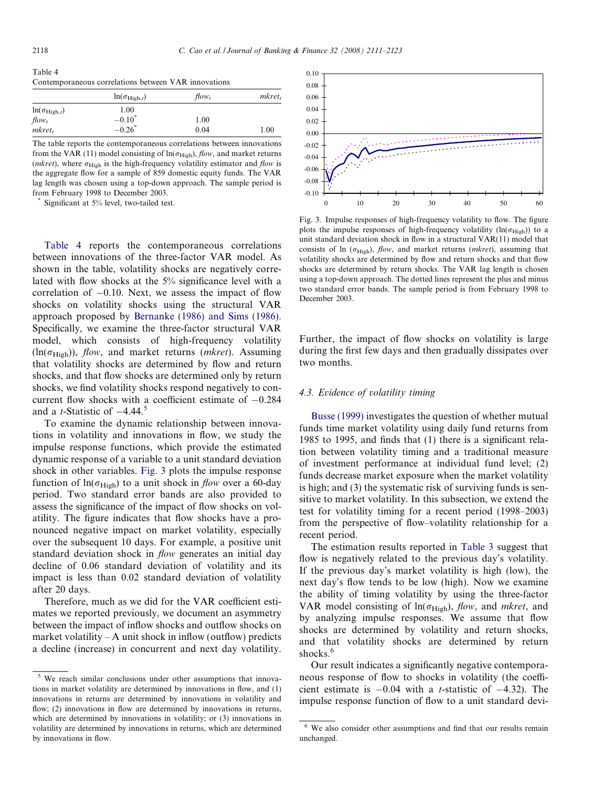<span id="page-7-0"></span>Table 4 Contemporaneous correlations between VAR innovations

|                        | $ln(\sigma_{High, t})$ | flow <sub>t</sub> | mkret <sub>t</sub> |
|------------------------|------------------------|-------------------|--------------------|
| $ln(\sigma_{High, t})$ | $1.00\,$               |                   |                    |
| $flow_t$               | $-0.10^*$              | 1.00              |                    |
| $mkret_t$              | $-0.26$ <sup>*</sup>   | 0.04              | 1.00               |

The table reports the contemporaneous correlations between innovations from the VAR (11) model consisting of  $ln(\sigma_{High})$ , flow, and market returns (*mkret*), where  $\sigma_{High}$  is the high-frequency volatility estimator and *flow* is the aggregate flow for a sample of 859 domestic equity funds. The VAR lag length was chosen using a top-down approach. The sample period is from February 1998 to December 2003.

Significant at 5% level, two-tailed test.

Table 4 reports the contemporaneous correlations between innovations of the three-factor VAR model. As shown in the table, volatility shocks are negatively correlated with flow shocks at the 5% significance level with a  $correlation of -0.10$ . Next, we assess the impact of flow shocks on volatility shocks using the structural VAR approach proposed by [Bernanke \(1986\) and Sims \(1986\)](#page-11-0). Specifically, we examine the three-factor structural VAR model, which consists of high-frequency volatility  $(ln(\sigma_{High}))$ , flow, and market returns (mkret). Assuming that volatility shocks are determined by flow and return shocks, and that flow shocks are determined only by return shocks, we find volatility shocks respond negatively to concurrent flow shocks with a coefficient estimate of  $-0.284$ and a *t*-Statistic of  $-4.44$ <sup>5</sup>

To examine the dynamic relationship between innovations in volatility and innovations in flow, we study the impulse response functions, which provide the estimated dynamic response of a variable to a unit standard deviation shock in other variables. Fig. 3 plots the impulse response function of  $ln(\sigma_{High})$  to a unit shock in *flow* over a 60-day period. Two standard error bands are also provided to assess the significance of the impact of flow shocks on volatility. The figure indicates that flow shocks have a pronounced negative impact on market volatility, especially over the subsequent 10 days. For example, a positive unit standard deviation shock in *flow* generates an initial day decline of 0.06 standard deviation of volatility and its impact is less than 0.02 standard deviation of volatility after 20 days.

Therefore, much as we did for the VAR coefficient estimates we reported previously, we document an asymmetry between the impact of inflow shocks and outflow shocks on market volatility – A unit shock in inflow (outflow) predicts a decline (increase) in concurrent and next day volatility.



Fig. 3. Impulse responses of high-frequency volatility to flow. The figure plots the impulse responses of high-frequency volatility  $(\ln(\sigma_{High}))$  to a unit standard deviation shock in flow in a structural VAR(11) model that consists of ln ( $\sigma_{High}$ ), flow, and market returns (mkret), assuming that volatility shocks are determined by flow and return shocks and that flow shocks are determined by return shocks. The VAR lag length is chosen using a top-down approach. The dotted lines represent the plus and minus two standard error bands. The sample period is from February 1998 to December 2003.

Further, the impact of flow shocks on volatility is large during the first few days and then gradually dissipates over two months.

# 4.3. Evidence of volatility timing

[Busse \(1999\)](#page-12-0) investigates the question of whether mutual funds time market volatility using daily fund returns from 1985 to 1995, and finds that (1) there is a significant relation between volatility timing and a traditional measure of investment performance at individual fund level; (2) funds decrease market exposure when the market volatility is high; and (3) the systematic risk of surviving funds is sensitive to market volatility. In this subsection, we extend the test for volatility timing for a recent period (1998–2003) from the perspective of flow–volatility relationship for a recent period.

The estimation results reported in [Table 3](#page-6-0) suggest that flow is negatively related to the previous day's volatility. If the previous day's market volatility is high (low), the next day's flow tends to be low (high). Now we examine the ability of timing volatility by using the three-factor VAR model consisting of  $ln(\sigma_{High})$ , flow, and mkret, and by analyzing impulse responses. We assume that flow shocks are determined by volatility and return shocks, and that volatility shocks are determined by return shocks.<sup>6</sup>

Our result indicates a significantly negative contemporaneous response of flow to shocks in volatility (the coefficient estimate is  $-0.04$  with a *t*-statistic of  $-4.32$ ). The impulse response function of flow to a unit standard devi-

<sup>5</sup> We reach similar conclusions under other assumptions that innovations in market volatility are determined by innovations in flow, and (1) innovations in returns are determined by innovations in volatility and flow; (2) innovations in flow are determined by innovations in returns, which are determined by innovations in volatility; or (3) innovations in volatility are determined by innovations in returns, which are determined by innovations in flow.

<sup>&</sup>lt;sup>6</sup> We also consider other assumptions and find that our results remain unchanged.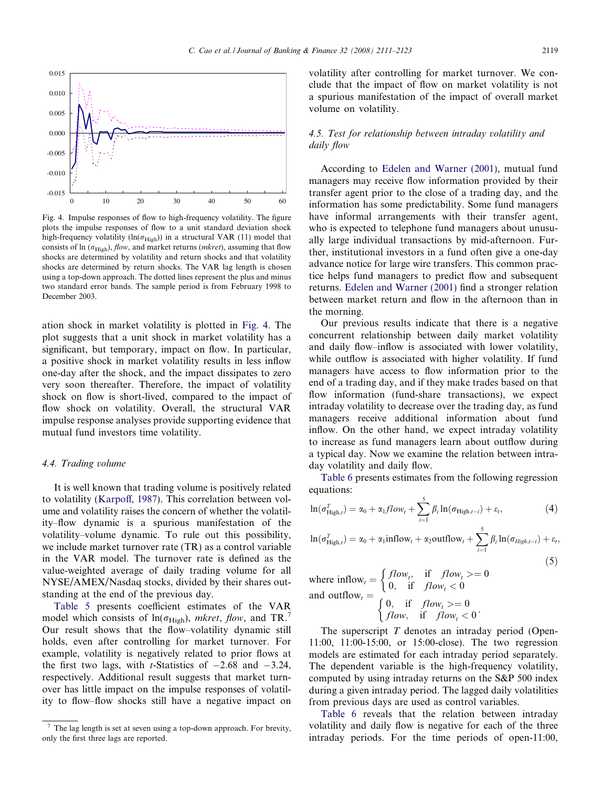<span id="page-8-0"></span>

Fig. 4. Impulse responses of flow to high-frequency volatility. The figure plots the impulse responses of flow to a unit standard deviation shock high-frequency volatility ( $ln(\sigma_{High})$ ) in a structural VAR (11) model that consists of ln ( $\sigma$ <sub>High</sub>), *flow*, and market returns (*mkret*), assuming that flow shocks are determined by volatility and return shocks and that volatility shocks are determined by return shocks. The VAR lag length is chosen using a top-down approach. The dotted lines represent the plus and minus two standard error bands. The sample period is from February 1998 to December 2003.

ation shock in market volatility is plotted in Fig. 4. The plot suggests that a unit shock in market volatility has a significant, but temporary, impact on flow. In particular, a positive shock in market volatility results in less inflow one-day after the shock, and the impact dissipates to zero very soon thereafter. Therefore, the impact of volatility shock on flow is short-lived, compared to the impact of flow shock on volatility. Overall, the structural VAR impulse response analyses provide supporting evidence that mutual fund investors time volatility.

#### 4.4. Trading volume

It is well known that trading volume is positively related to volatility ([Karpoff, 1987](#page-12-0)). This correlation between volume and volatility raises the concern of whether the volatility–flow dynamic is a spurious manifestation of the volatility–volume dynamic. To rule out this possibility, we include market turnover rate (TR) as a control variable in the VAR model. The turnover rate is defined as the value-weighted average of daily trading volume for all NYSE/AMEX/Nasdaq stocks, divided by their shares outstanding at the end of the previous day.

[Table 5](#page-9-0) presents coefficient estimates of the VAR model which consists of  $ln(\sigma_{High})$ , *mkret*, *flow*, and TR.<sup>7</sup> Our result shows that the flow–volatility dynamic still holds, even after controlling for market turnover. For example, volatility is negatively related to prior flows at the first two lags, with *t*-Statistics of  $-2.68$  and  $-3.24$ , respectively. Additional result suggests that market turnover has little impact on the impulse responses of volatility to flow–flow shocks still have a negative impact on volatility after controlling for market turnover. We conclude that the impact of flow on market volatility is not a spurious manifestation of the impact of overall market volume on volatility.

# 4.5. Test for relationship between intraday volatility and daily *flow*

According to [Edelen and Warner \(2001\),](#page-12-0) mutual fund managers may receive flow information provided by their transfer agent prior to the close of a trading day, and the information has some predictability. Some fund managers have informal arrangements with their transfer agent, who is expected to telephone fund managers about unusually large individual transactions by mid-afternoon. Further, institutional investors in a fund often give a one-day advance notice for large wire transfers. This common practice helps fund managers to predict flow and subsequent returns. [Edelen and Warner \(2001\)](#page-12-0) find a stronger relation between market return and flow in the afternoon than in the morning.

Our previous results indicate that there is a negative concurrent relationship between daily market volatility and daily flow–inflow is associated with lower volatility, while outflow is associated with higher volatility. If fund managers have access to flow information prior to the end of a trading day, and if they make trades based on that flow information (fund-share transactions), we expect intraday volatility to decrease over the trading day, as fund managers receive additional information about fund inflow. On the other hand, we expect intraday volatility to increase as fund managers learn about outflow during a typical day. Now we examine the relation between intraday volatility and daily flow.

[Table 6](#page-9-0) presents estimates from the following regression equations:

$$
\ln(\sigma_{\text{High},t}^T) = \alpha_0 + \alpha_1 flow_t + \sum_{i=1}^5 \beta_i \ln(\sigma_{\text{High},t-i}) + \varepsilon_t,
$$
\n(4)

$$
\ln(\sigma_{\text{High},t}^T) = \alpha_0 + \alpha_1 \text{inflow}_t + \alpha_2 \text{outflow}_t + \sum_{i=1}^5 \beta_i \ln(\sigma_{\text{High},t-i}) + \varepsilon_t,
$$
\n(5)

where inflow<sub>t</sub> =  $\begin{cases} flow_t, & \text{if } flow_t \geq 0 \\ 0 & \text{if } flow \leq 0 \end{cases}$ 0, if  $flow_t < 0$  $\epsilon$ and outflow<sub>t</sub> =  $\int 0$ , if  $flow_t > = 0$ flow, if  $flow_t < 0$  $\epsilon$ .

The superscript  $T$  denotes an intraday period (Open-11:00, 11:00-15:00, or 15:00-close). The two regression models are estimated for each intraday period separately. The dependent variable is the high-frequency volatility, computed by using intraday returns on the S&P 500 index during a given intraday period. The lagged daily volatilities from previous days are used as control variables.

[Table 6](#page-9-0) reveals that the relation between intraday volatility and daily flow is negative for each of the three intraday periods. For the time periods of open-11:00,

 $7$  The lag length is set at seven using a top-down approach. For brevity, only the first three lags are reported.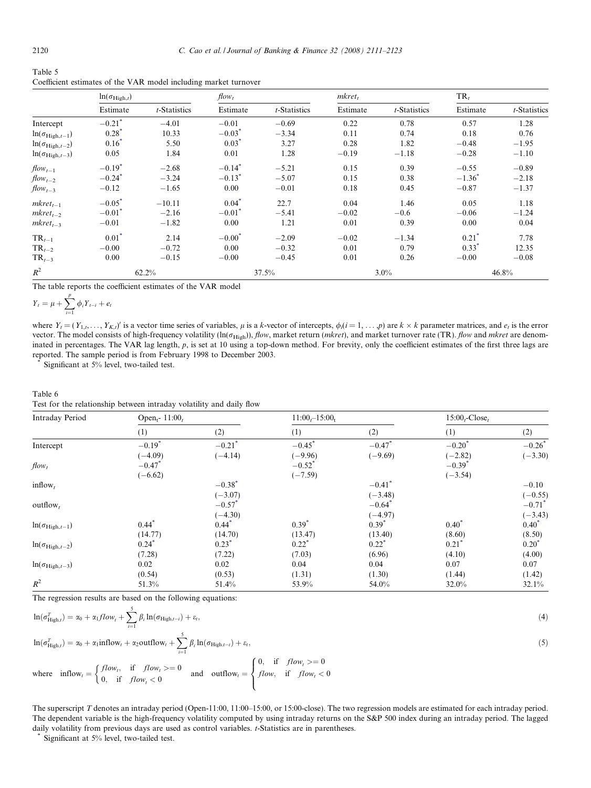<span id="page-9-0"></span>

| Table 5 |                                                                  |
|---------|------------------------------------------------------------------|
|         | Coefficient estimates of the VAR model including market turnover |

|                          | $ln(\sigma_{High, t})$ |              | $flow_t$             |              | $mkret_t$ |                 | TR <sub>t</sub>     |                 |
|--------------------------|------------------------|--------------|----------------------|--------------|-----------|-----------------|---------------------|-----------------|
|                          | Estimate               | t-Statistics | Estimate             | t-Statistics | Estimate  | $t$ -Statistics | Estimate            | $t$ -Statistics |
| Intercept                | $-0.21$ <sup>*</sup>   | $-4.01$      | $-0.01$              | $-0.69$      | 0.22      | 0.78            | 0.57                | 1.28            |
| $ln(\sigma_{High, t-1})$ | $0.28*$                | 10.33        | $-0.03^*$            | $-3.34$      | 0.11      | 0.74            | 0.18                | 0.76            |
| $ln(\sigma_{High, t-2})$ | $0.16*$                | 5.50         | $0.03*$              | 3.27         | 0.28      | 1.82            | $-0.48$             | $-1.95$         |
| $ln(\sigma_{High, t-3})$ | 0.05                   | 1.84         | 0.01                 | 1.28         | $-0.19$   | $-1.18$         | $-0.28$             | $-1.10$         |
| $flow_{t-1}$             | $-0.19$ <sup>*</sup>   | $-2.68$      | $-0.14$ <sup>*</sup> | $-5.21$      | 0.15      | 0.39            | $-0.55$             | $-0.89$         |
| $flow_{t-2}$             | $-0.24$ <sup>*</sup>   | $-3.24$      | $-0.13^*$            | $-5.07$      | 0.15      | 0.38            | $-1.36^{*}$         | $-2.18$         |
| $flow_{t-3}$             | $-0.12$                | $-1.65$      | 0.00                 | $-0.01$      | 0.18      | 0.45            | $-0.87$             | $-1.37$         |
| $mkret_{t-1}$            | $-0.05^*$              | $-10.11$     | $0.04*$              | 22.7         | 0.04      | 1.46            | 0.05                | 1.18            |
| $mkret_{t-2}$            | $-0.01$ <sup>*</sup>   | $-2.16$      | $-0.01$ <sup>*</sup> | $-5.41$      | $-0.02$   | $-0.6$          | $-0.06$             | $-1.24$         |
| $mkret_{t-3}$            | $-0.01$                | $-1.82$      | 0.00                 | 1.21         | 0.01      | 0.39            | 0.00                | 0.04            |
| $TR_{t-1}$               | $0.01*$                | 2.14         | $-0.00^*$            | $-2.09$      | $-0.02$   | $-1.34$         | $0.21$ <sup>*</sup> | 7.78            |
| $TR_{t-2}$               | $-0.00$                | $-0.72$      | 0.00                 | $-0.32$      | 0.01      | 0.79            | $0.33$ <sup>*</sup> | 12.35           |
| $TR_{t-3}$               | 0.00                   | $-0.15$      | $-0.00$              | $-0.45$      | 0.01      | 0.26            | $-0.00$             | $-0.08$         |
| $R^2$                    |                        | 62.2%        |                      | 37.5%        |           | $3.0\%$         |                     | 46.8%           |

The table reports the coefficient estimates of the VAR model

$$
Y_{t} = \mu + \sum_{i=1}^{p} \phi_{i} Y_{t-i} + e_{t}
$$

where  $Y_t = (Y_{1,t},..., Y_{K,t})'$  is a vector time series of variables,  $\mu$  is a k-vector of intercepts,  $\phi_t(i = 1,...,p)$  are  $k \times k$  parameter matrices, and  $e_t$  is the error vector. The model consists of high-frequency volatility ( $\ln(\sigma_{\text{High}})$ ), flow, market return (mkret), and market turnover rate (TR). flow and mkret are denominated in percentages. The VAR lag length, p, is set at 10 using a top-down method. For brevity, only the coefficient estimates of the first three lags are reported. The sample period is from February 1998 to December 2003.

Significant at 5% level, two-tailed test.

| ۰,<br>×<br>٠<br>۰, |  |
|--------------------|--|
|--------------------|--|

|  | Test for the relationship between intraday volatility and daily flow |
|--|----------------------------------------------------------------------|
|--|----------------------------------------------------------------------|

| Intraday Period          | Open <sub>t</sub> - $11:00$ , |                      | $11:00,-15:00$       |                      |                      | 15:00,-Close,        |  |
|--------------------------|-------------------------------|----------------------|----------------------|----------------------|----------------------|----------------------|--|
|                          | (1)                           | (2)                  | (1)                  | (2)                  | (1)                  | (2)                  |  |
| Intercept                | $-0.19$ <sup>*</sup>          | $-0.21$ <sup>*</sup> | $-0.45$ <sup>*</sup> | $-0.47$ <sup>*</sup> | $-0.20$ <sup>*</sup> | $-0.26$ <sup>*</sup> |  |
|                          | $(-4.09)$                     | $(-4.14)$            | $(-9.96)$            | $(-9.69)$            | $(-2.82)$            | $(-3.30)$            |  |
| $flow_t$                 | $-0.47$                       |                      | $-0.52$ <sup>*</sup> |                      | $-0.39$ <sup>*</sup> |                      |  |
|                          | $(-6.62)$                     |                      | $(-7.59)$            |                      | $(-3.54)$            |                      |  |
| inflow,                  |                               | $-0.38$ <sup>*</sup> |                      | $-0.41$ <sup>*</sup> |                      | $-0.10$              |  |
|                          |                               | $(-3.07)$            |                      | $(-3.48)$            |                      | $(-0.55)$            |  |
| outflow,                 |                               | $-0.57$ <sup>*</sup> |                      | $-0.64$ <sup>*</sup> |                      | $-0.71$ <sup>*</sup> |  |
|                          |                               | $(-4.30)$            |                      | $(-4.97)$            |                      | $(-3.43)$            |  |
| $ln(\sigma_{High, t-1})$ | $0.44*$                       | $0.44*$              | $0.39*$              | $0.39*$              | $0.40^{*}$           | $0.40*$              |  |
|                          | (14.77)                       | (14.70)              | (13.47)              | (13.40)              | (8.60)               | (8.50)               |  |
| $ln(\sigma_{High, t-2})$ | $0.24$ <sup>*</sup>           | $0.23^*$             | $0.22^*$             | $0.22^*$             | $0.21$ <sup>*</sup>  | $0.20^{*}$           |  |
|                          | (7.28)                        | (7.22)               | (7.03)               | (6.96)               | (4.10)               | (4.00)               |  |
| $ln(\sigma_{High, t-3})$ | 0.02                          | 0.02                 | 0.04                 | 0.04                 | 0.07                 | 0.07                 |  |
|                          | (0.54)                        | (0.53)               | (1.31)               | (1.30)               | (1.44)               | (1.42)               |  |
| $R^2$                    | 51.3%                         | 51.4%                | 53.9%                | 54.0%                | 32.0%                | 32.1%                |  |

The regression results are based on the following equations:

$$
\ln(\sigma_{\text{High},t}^T) = \alpha_0 + \alpha_1 flow_t + \sum_{i=1}^5 \beta_i \ln(\sigma_{\text{High},t-i}) + \varepsilon_t,
$$
\n
$$
\ln(\sigma_{\text{High},t}^T) = \alpha_0 + \alpha_1 \text{inflow}_t + \alpha_2 \text{outflow}_t + \sum_{i=1}^5 \beta_i \ln(\sigma_{\text{High},t-i}) + \varepsilon_t,
$$
\n
$$
\text{where } \text{inflow}_t = \begin{cases} flow_t, & \text{if } flow_t >=0\\ 0, & \text{if } flow_t <0 \end{cases} \text{ and } \text{outflow}_t = \begin{cases} 0, & \text{if } flow_t >=0\\ flow, & \text{if } flow_t <0 \end{cases}
$$
\n
$$
\text{(5)}
$$

The superscript T denotes an intraday period (Open-11:00, 11:00–15:00, or 15:00-close). The two regression models are estimated for each intraday period. The dependent variable is the high-frequency volatility computed by using intraday returns on the S&P 500 index during an intraday period. The lagged daily volatility from previous days are used as control variables. *t*-Statistics are in parentheses.

\* Significant at 5% level, two-tailed test.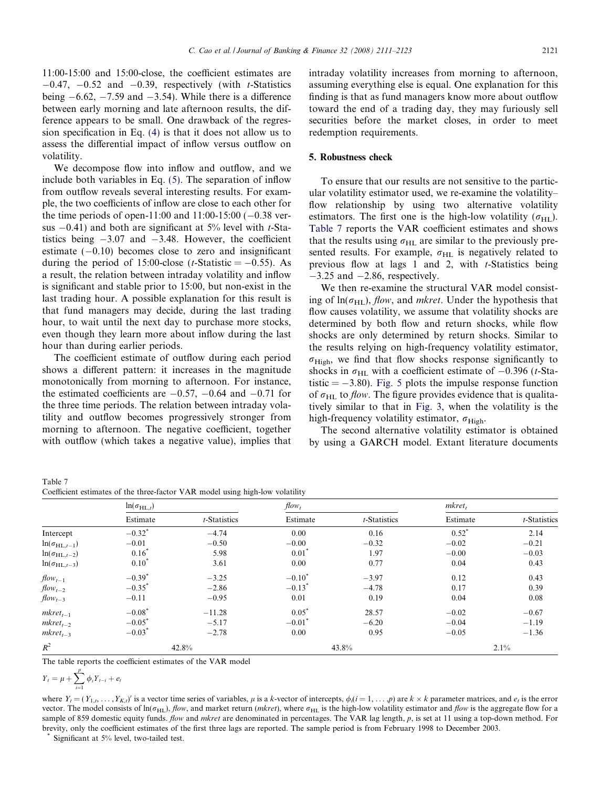<span id="page-10-0"></span>11:00-15:00 and 15:00-close, the coefficient estimates are  $-0.47$ ,  $-0.52$  and  $-0.39$ , respectively (with *t*-Statistics being  $-6.62$ ,  $-7.59$  and  $-3.54$ ). While there is a difference between early morning and late afternoon results, the difference appears to be small. One drawback of the regression specification in Eq. [\(4\)](#page-8-0) is that it does not allow us to assess the differential impact of inflow versus outflow on volatility.

We decompose flow into inflow and outflow, and we include both variables in Eq. (5). The separation of inflow from outflow reveals several interesting results. For example, the two coefficients of inflow are close to each other for the time periods of open-11:00 and  $11:00-15:00$  ( $-0.38$  versus  $-0.41$ ) and both are significant at 5% level with *t*-Statistics being  $-3.07$  and  $-3.48$ . However, the coefficient estimate  $(-0.10)$  becomes close to zero and insignificant during the period of 15:00-close (*t*-Statistic  $= -0.55$ ). As a result, the relation between intraday volatility and inflow is significant and stable prior to 15:00, but non-exist in the last trading hour. A possible explanation for this result is that fund managers may decide, during the last trading hour, to wait until the next day to purchase more stocks, even though they learn more about inflow during the last hour than during earlier periods.

The coefficient estimate of outflow during each period shows a different pattern: it increases in the magnitude monotonically from morning to afternoon. For instance, the estimated coefficients are  $-0.57$ ,  $-0.64$  and  $-0.71$  for the three time periods. The relation between intraday volatility and outflow becomes progressively stronger from morning to afternoon. The negative coefficient, together with outflow (which takes a negative value), implies that intraday volatility increases from morning to afternoon, assuming everything else is equal. One explanation for this finding is that as fund managers know more about outflow toward the end of a trading day, they may furiously sell securities before the market closes, in order to meet redemption requirements.

# 5. Robustness check

To ensure that our results are not sensitive to the particular volatility estimator used, we re-examine the volatility– flow relationship by using two alternative volatility estimators. The first one is the high-low volatility ( $\sigma_{\text{HL}}$ ). Table 7 reports the VAR coefficient estimates and shows that the results using  $\sigma_{HL}$  are similar to the previously presented results. For example,  $\sigma_{HL}$  is negatively related to previous flow at lags 1 and 2, with  $t$ -Statistics being  $-3.25$  and  $-2.86$ , respectively.

We then re-examine the structural VAR model consisting of  $ln(\sigma_{HL})$ , flow, and *mkret*. Under the hypothesis that flow causes volatility, we assume that volatility shocks are determined by both flow and return shocks, while flow shocks are only determined by return shocks. Similar to the results relying on high-frequency volatility estimator,  $\sigma_{\text{High}}$ , we find that flow shocks response significantly to shocks in  $\sigma_{HL}$  with a coefficient estimate of  $-0.396$  (*t*-Statistic  $= -3.80$ ). [Fig. 5](#page-11-0) plots the impulse response function of  $\sigma_{\text{HL}}$  to *flow*. The figure provides evidence that is qualitatively similar to that in [Fig. 3](#page-7-0), when the volatility is the high-frequency volatility estimator,  $\sigma_{\text{High}}$ .

The second alternative volatility estimator is obtained by using a GARCH model. Extant literature documents

Table 7 Coefficient estimates of the three-factor VAR model using high-low volatility

|                       | $ln(\sigma_{HL,t})$  |              | $flow_t$             |                 | mkret,   |                 |
|-----------------------|----------------------|--------------|----------------------|-----------------|----------|-----------------|
|                       | Estimate             | t-Statistics | Estimate             | $t$ -Statistics | Estimate | $t$ -Statistics |
| Intercept             | $-0.32$ <sup>*</sup> | $-4.74$      | 0.00                 | 0.16            | $0.52^*$ | 2.14            |
| $ln(\sigma_{HL,t-1})$ | $-0.01$              | $-0.50$      | $-0.00$              | $-0.32$         | $-0.02$  | $-0.21$         |
| $ln(\sigma_{HL,t-2})$ | $0.16$ <sup>*</sup>  | 5.98         | 0.01                 | 1.97            | $-0.00$  | $-0.03$         |
| $ln(\sigma_{HL,t-3})$ | $0.10^*$             | 3.61         | 0.00                 | 0.77            | 0.04     | 0.43            |
| $flow_{t-1}$          | $-0.39$ <sup>*</sup> | $-3.25$      | $-0.10^{\circ}$      | $-3.97$         | 0.12     | 0.43            |
| $flow_{t-2}$          | $-0.35^*$            | $-2.86$      | $-0.13$ <sup>*</sup> | $-4.78$         | 0.17     | 0.39            |
| $flow_{t-3}$          | $-0.11$              | $-0.95$      | 0.01                 | 0.19            | 0.04     | 0.08            |
| $mkret_{t-1}$         | $-0.08*$             | $-11.28$     | $0.05^*$             | 28.57           | $-0.02$  | $-0.67$         |
| $mkret_{t-2}$         | $-0.05^*$            | $-5.17$      | $-0.01$              | $-6.20$         | $-0.04$  | $-1.19$         |
| $mkret_{t-3}$         | $-0.03$ <sup>*</sup> | $-2.78$      | 0.00                 | 0.95            | $-0.05$  | $-1.36$         |
| $R^2$                 | 42.8%                |              | 43.8%                |                 | 2.1%     |                 |

The table reports the coefficient estimates of the VAR model

$$
Y_{t} = \mu + \sum_{i=1}^{p} \phi_{i} Y_{t-i} + e_{t}
$$

where  $Y_t = (Y_{1,t}, \dots, Y_{K,t})'$  is a vector time series of variables,  $\mu$  is a k-vector of intercepts,  $\phi_t(i = 1, \dots, p)$  are  $k \times k$  parameter matrices, and  $e_t$  is the error vector. The model consists of  $\ln(\sigma_{HL})$ , flow, and market return (mkret), where  $\sigma_{HL}$  is the high-low volatility estimator and flow is the aggregate flow for a sample of 859 domestic equity funds. *flow* and *mkret* are denominated in percentages. The VAR lag length, p, is set at 11 using a top-down method. For brevity, only the coefficient estimates of the first three lags are reported. The sample period is from February 1998 to December 2003.

Significant at 5% level, two-tailed test.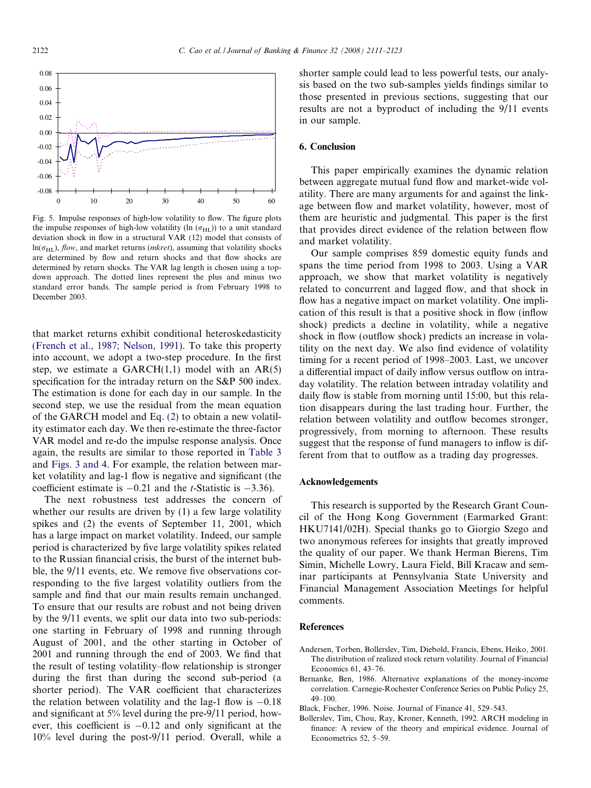<span id="page-11-0"></span>

Fig. 5. Impulse responses of high-low volatility to flow. The figure plots the impulse responses of high-low volatility (ln  $(\sigma_{HL})$ ) to a unit standard deviation shock in flow in a structural VAR (12) model that consists of  $ln(\sigma_{HI})$ , flow, and market returns (*mkret*), assuming that volatility shocks are determined by flow and return shocks and that flow shocks are determined by return shocks. The VAR lag length is chosen using a topdown approach. The dotted lines represent the plus and minus two standard error bands. The sample period is from February 1998 to December 2003.

that market returns exhibit conditional heteroskedasticity [\(French et al., 1987; Nelson, 1991\)](#page-12-0). To take this property into account, we adopt a two-step procedure. In the first step, we estimate a  $GARCH(1,1)$  model with an  $AR(5)$ specification for the intraday return on the S&P 500 index. The estimation is done for each day in our sample. In the second step, we use the residual from the mean equation of the GARCH model and Eq. [\(2\)](#page-3-0) to obtain a new volatility estimator each day. We then re-estimate the three-factor VAR model and re-do the impulse response analysis. Once again, the results are similar to those reported in [Table 3](#page-6-0) and [Figs. 3 and 4.](#page-7-0) For example, the relation between market volatility and lag-1 flow is negative and significant (the coefficient estimate is  $-0.21$  and the *t*-Statistic is  $-3.36$ ).

The next robustness test addresses the concern of whether our results are driven by (1) a few large volatility spikes and (2) the events of September 11, 2001, which has a large impact on market volatility. Indeed, our sample period is characterized by five large volatility spikes related to the Russian financial crisis, the burst of the internet bubble, the 9/11 events, etc. We remove five observations corresponding to the five largest volatility outliers from the sample and find that our main results remain unchanged. To ensure that our results are robust and not being driven by the 9/11 events, we split our data into two sub-periods: one starting in February of 1998 and running through August of 2001, and the other starting in October of 2001 and running through the end of 2003. We find that the result of testing volatility–flow relationship is stronger during the first than during the second sub-period (a shorter period). The VAR coefficient that characterizes the relation between volatility and the lag-1 flow is  $-0.18$ and significant at 5% level during the pre-9/11 period, however, this coefficient is  $-0.12$  and only significant at the 10% level during the post-9/11 period. Overall, while a

shorter sample could lead to less powerful tests, our analysis based on the two sub-samples yields findings similar to those presented in previous sections, suggesting that our results are not a byproduct of including the 9/11 events in our sample.

# 6. Conclusion

This paper empirically examines the dynamic relation between aggregate mutual fund flow and market-wide volatility. There are many arguments for and against the linkage between flow and market volatility, however, most of them are heuristic and judgmental. This paper is the first that provides direct evidence of the relation between flow and market volatility.

Our sample comprises 859 domestic equity funds and spans the time period from 1998 to 2003. Using a VAR approach, we show that market volatility is negatively related to concurrent and lagged flow, and that shock in flow has a negative impact on market volatility. One implication of this result is that a positive shock in flow (inflow shock) predicts a decline in volatility, while a negative shock in flow (outflow shock) predicts an increase in volatility on the next day. We also find evidence of volatility timing for a recent period of 1998–2003. Last, we uncover a differential impact of daily inflow versus outflow on intraday volatility. The relation between intraday volatility and daily flow is stable from morning until 15:00, but this relation disappears during the last trading hour. Further, the relation between volatility and outflow becomes stronger, progressively, from morning to afternoon. These results suggest that the response of fund managers to inflow is different from that to outflow as a trading day progresses.

# Acknowledgements

This research is supported by the Research Grant Council of the Hong Kong Government (Earmarked Grant: HKU7141/02H). Special thanks go to Giorgio Szego and two anonymous referees for insights that greatly improved the quality of our paper. We thank Herman Bierens, Tim Simin, Michelle Lowry, Laura Field, Bill Kracaw and seminar participants at Pennsylvania State University and Financial Management Association Meetings for helpful comments.

#### References

- Andersen, Torben, Bollerslev, Tim, Diebold, Francis, Ebens, Heiko, 2001. The distribution of realized stock return volatility. Journal of Financial Economics 61, 43–76.
- Bernanke, Ben, 1986. Alternative explanations of the money-income correlation. Carnegie-Rochester Conference Series on Public Policy 25, 49–100.
- Black, Fischer, 1996. Noise. Journal of Finance 41, 529–543.
- Bollerslev, Tim, Chou, Ray, Kroner, Kenneth, 1992. ARCH modeling in finance: A review of the theory and empirical evidence. Journal of Econometrics 52, 5–59.